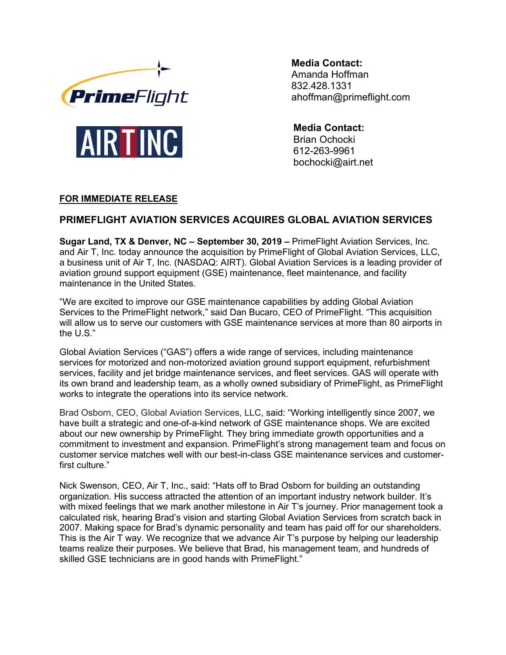



**Media Contact:** Amanda Hoffman 832.428.1331 ahoffman@primeflight.com

**Media Contact:** Brian Ochocki 612-263-9961 bochocki@airt.net

# **FOR IMMEDIATE RELEASE**

# **PRIMEFLIGHT AVIATION SERVICES ACQUIRES GLOBAL AVIATION SERVICES**

**Sugar Land, TX & Denver, NC – September 30, 2019 –** PrimeFlight Aviation Services, Inc. and Air T, Inc. today announce the acquisition by PrimeFlight of Global Aviation Services, LLC, a business unit of Air T, Inc. (NASDAQ: AIRT). Global Aviation Services is a leading provider of aviation ground support equipment (GSE) maintenance, fleet maintenance, and facility maintenance in the United States.

"We are excited to improve our GSE maintenance capabilities by adding Global Aviation Services to the PrimeFlight network," said Dan Bucaro, CEO of PrimeFlight. "This acquisition will allow us to serve our customers with GSE maintenance services at more than 80 airports in the U.S."

Global Aviation Services ("GAS") offers a wide range of services, including maintenance services for motorized and non-motorized aviation ground support equipment, refurbishment services, facility and jet bridge maintenance services, and fleet services. GAS will operate with its own brand and leadership team, as a wholly owned subsidiary of PrimeFlight, as PrimeFlight works to integrate the operations into its service network.

Brad Osborn, CEO, Global Aviation Services, LLC, said: "Working intelligently since 2007, we have built a strategic and one-of-a-kind network of GSE maintenance shops. We are excited about our new ownership by PrimeFlight. They bring immediate growth opportunities and a commitment to investment and expansion. PrimeFlight's strong management team and focus on customer service matches well with our best-in-class GSE maintenance services and customerfirst culture."

Nick Swenson, CEO, Air T, Inc., said: "Hats off to Brad Osborn for building an outstanding organization. His success attracted the attention of an important industry network builder. It's with mixed feelings that we mark another milestone in Air T's journey. Prior management took a calculated risk, hearing Brad's vision and starting Global Aviation Services from scratch back in 2007. Making space for Brad's dynamic personality and team has paid off for our shareholders. This is the Air T way. We recognize that we advance Air T's purpose by helping our leadership teams realize their purposes. We believe that Brad, his management team, and hundreds of skilled GSE technicians are in good hands with PrimeFlight."